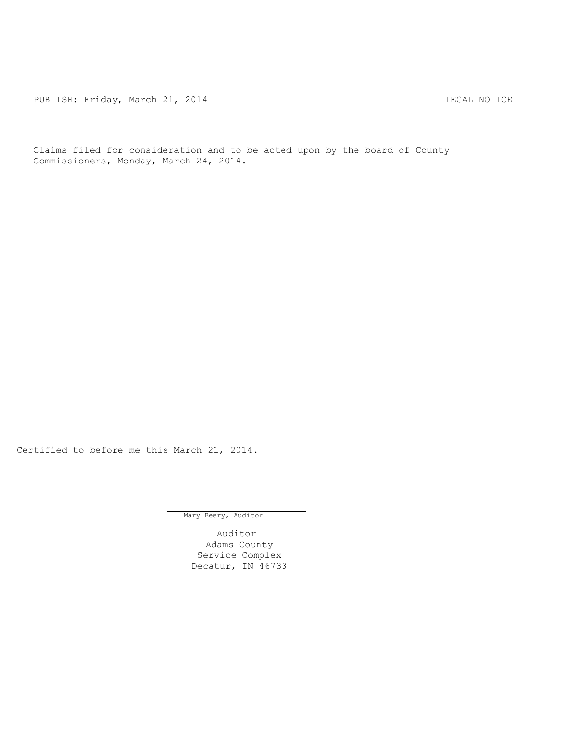PUBLISH: Friday, March 21, 2014 CHARL STATES AND THE MOTICE

Claims filed for consideration and to be acted upon by the board of County Commissioners, Monday, March 24, 2014.

Certified to before me this March 21, 2014.

Mary Beery, Auditor

Auditor Adams County Service Complex Decatur, IN 46733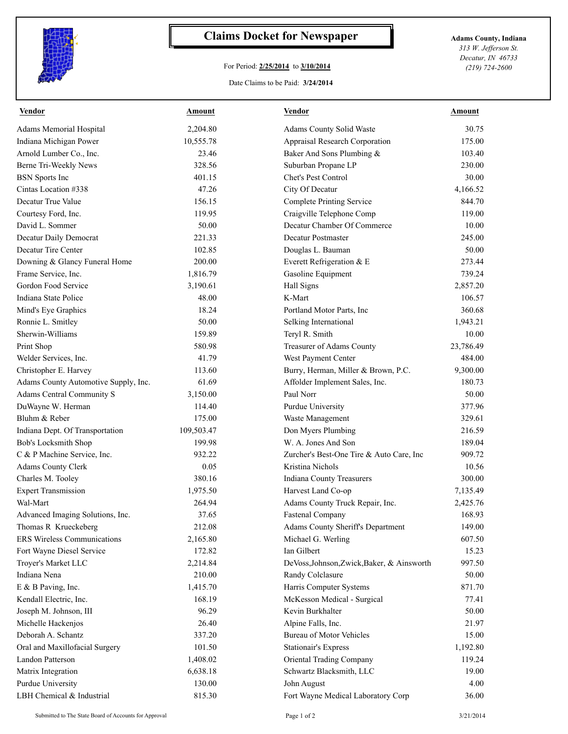

## **Claims Docket for Newspaper Adams County, Indiana**

## For Period: **2/25/2014** to **3/10/2014**

*313 W. Jefferson St. Decatur, IN 46733 (219) 724-2600*

## Date Claims to be Paid: **3/24/2014**

| <b>Vendor</b>                                    | Amount     | <b>Vendor</b>                              | Amount    |
|--------------------------------------------------|------------|--------------------------------------------|-----------|
| Adams Memorial Hospital                          | 2,204.80   | Adams County Solid Waste                   | 30.75     |
| Indiana Michigan Power                           | 10,555.78  | Appraisal Research Corporation             | 175.00    |
| Arnold Lumber Co., Inc.                          | 23.46      | Baker And Sons Plumbing &                  | 103.40    |
| Berne Tri-Weekly News                            | 328.56     | Suburban Propane LP                        | 230.00    |
| <b>BSN</b> Sports Inc                            | 401.15     | Chet's Pest Control                        | 30.00     |
| Cintas Location #338                             | 47.26      | City Of Decatur                            | 4,166.52  |
| Decatur True Value                               | 156.15     | <b>Complete Printing Service</b>           | 844.70    |
| Courtesy Ford, Inc.                              | 119.95     | Craigville Telephone Comp                  | 119.00    |
| David L. Sommer                                  | 50.00      | Decatur Chamber Of Commerce                | 10.00     |
| Decatur Daily Democrat                           | 221.33     | Decatur Postmaster                         | 245.00    |
| Decatur Tire Center                              | 102.85     | Douglas L. Bauman                          | 50.00     |
| Downing & Glancy Funeral Home                    | 200.00     | Everett Refrigeration & E                  | 273.44    |
| Frame Service, Inc.                              | 1,816.79   | Gasoline Equipment                         | 739.24    |
| Gordon Food Service                              | 3,190.61   | Hall Signs                                 | 2,857.20  |
| Indiana State Police                             | 48.00      | K-Mart                                     | 106.57    |
| Mind's Eye Graphics                              | 18.24      | Portland Motor Parts, Inc.                 | 360.68    |
| Ronnie L. Smitley                                | 50.00      | Selking International                      | 1,943.21  |
| Sherwin-Williams                                 | 159.89     | Teryl R. Smith                             | 10.00     |
| Print Shop                                       | 580.98     | Treasurer of Adams County                  | 23,786.49 |
| Welder Services, Inc.                            | 41.79      | West Payment Center                        | 484.00    |
| Christopher E. Harvey                            | 113.60     | Burry, Herman, Miller & Brown, P.C.        | 9,300.00  |
| Adams County Automotive Supply, Inc.             | 61.69      | Affolder Implement Sales, Inc.             | 180.73    |
| Adams Central Community S                        | 3,150.00   | Paul Norr                                  | 50.00     |
| DuWayne W. Herman                                | 114.40     | <b>Purdue University</b>                   | 377.96    |
| Bluhm & Reber                                    | 175.00     | Waste Management                           | 329.61    |
| Indiana Dept. Of Transportation                  | 109,503.47 | Don Myers Plumbing                         | 216.59    |
| Bob's Locksmith Shop                             | 199.98     | W. A. Jones And Son                        | 189.04    |
| C & P Machine Service, Inc.                      | 932.22     | Zurcher's Best-One Tire & Auto Care, Inc   | 909.72    |
| <b>Adams County Clerk</b>                        | 0.05       | Kristina Nichols                           | 10.56     |
| Charles M. Tooley                                | 380.16     | Indiana County Treasurers                  | 300.00    |
| <b>Expert Transmission</b>                       | 1,975.50   | Harvest Land Co-op                         | 7,135.49  |
| Wal-Mart                                         | 264.94     | Adams County Truck Repair, Inc.            | 2,425.76  |
| Advanced Imaging Solutions, Inc.                 | 37.65      | Fastenal Company                           | 168.93    |
| Thomas R Krueckeberg                             | 212.08     | Adams County Sheriff's Department          | 149.00    |
| ERS Wireless Communications                      | 2,165.80   | Michael G. Werling                         | 607.50    |
|                                                  | 172.82     | Ian Gilbert                                | 15.23     |
| Fort Wayne Diesel Service<br>Troyer's Market LLC |            | DeVoss, Johnson, Zwick, Baker, & Ainsworth |           |
|                                                  | 2,214.84   |                                            | 997.50    |
| Indiana Nena                                     | 210.00     | Randy Colclasure                           | 50.00     |
| E & B Paving, Inc.                               | 1,415.70   | Harris Computer Systems                    | 871.70    |
| Kendall Electric, Inc.                           | 168.19     | McKesson Medical - Surgical                | 77.41     |
| Joseph M. Johnson, III                           | 96.29      | Kevin Burkhalter                           | 50.00     |
| Michelle Hackenjos                               | 26.40      | Alpine Falls, Inc.                         | 21.97     |
| Deborah A. Schantz                               | 337.20     | Bureau of Motor Vehicles                   | 15.00     |
| Oral and Maxillofacial Surgery                   | 101.50     | <b>Stationair's Express</b>                | 1,192.80  |
| Landon Patterson                                 | 1,408.02   | Oriental Trading Company                   | 119.24    |
| Matrix Integration                               | 6,638.18   | Schwartz Blacksmith, LLC                   | 19.00     |
| Purdue University                                | 130.00     | John August                                | 4.00      |
| LBH Chemical & Industrial                        | 815.30     | Fort Wayne Medical Laboratory Corp         | 36.00     |